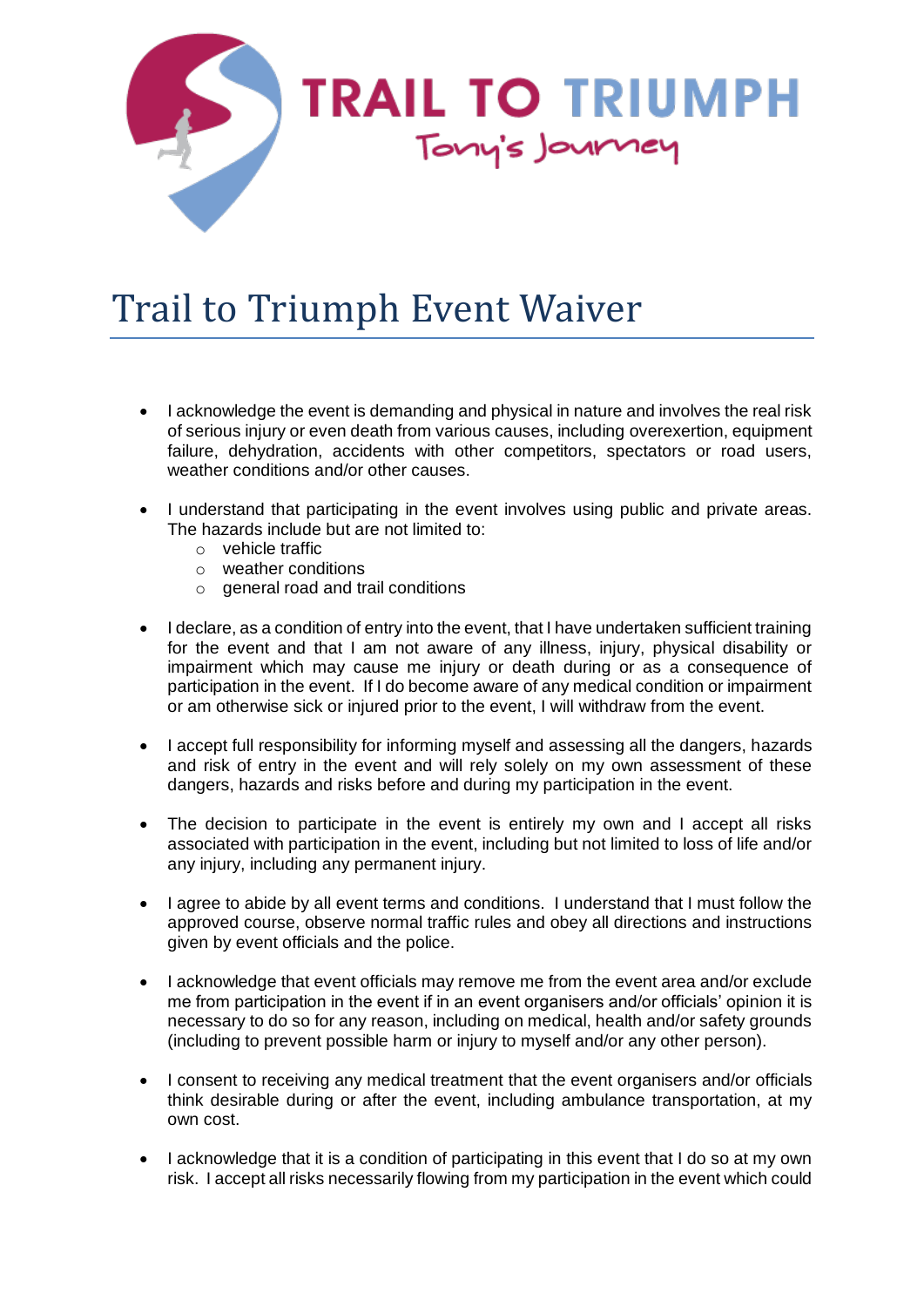

## Trail to Triumph Event Waiver

- I acknowledge the event is demanding and physical in nature and involves the real risk of serious injury or even death from various causes, including overexertion, equipment failure, dehydration, accidents with other competitors, spectators or road users, weather conditions and/or other causes.
- I understand that participating in the event involves using public and private areas. The hazards include but are not limited to:
	- o vehicle traffic
	- o weather conditions
	- $\circ$  general road and trail conditions
- I declare, as a condition of entry into the event, that I have undertaken sufficient training for the event and that I am not aware of any illness, injury, physical disability or impairment which may cause me injury or death during or as a consequence of participation in the event. If I do become aware of any medical condition or impairment or am otherwise sick or injured prior to the event, I will withdraw from the event.
- I accept full responsibility for informing myself and assessing all the dangers, hazards and risk of entry in the event and will rely solely on my own assessment of these dangers, hazards and risks before and during my participation in the event.
- The decision to participate in the event is entirely my own and I accept all risks associated with participation in the event, including but not limited to loss of life and/or any injury, including any permanent injury.
- I agree to abide by all event terms and conditions. I understand that I must follow the approved course, observe normal traffic rules and obey all directions and instructions given by event officials and the police.
- I acknowledge that event officials may remove me from the event area and/or exclude me from participation in the event if in an event organisers and/or officials' opinion it is necessary to do so for any reason, including on medical, health and/or safety grounds (including to prevent possible harm or injury to myself and/or any other person).
- I consent to receiving any medical treatment that the event organisers and/or officials think desirable during or after the event, including ambulance transportation, at my own cost.
- I acknowledge that it is a condition of participating in this event that I do so at my own risk. I accept all risks necessarily flowing from my participation in the event which could